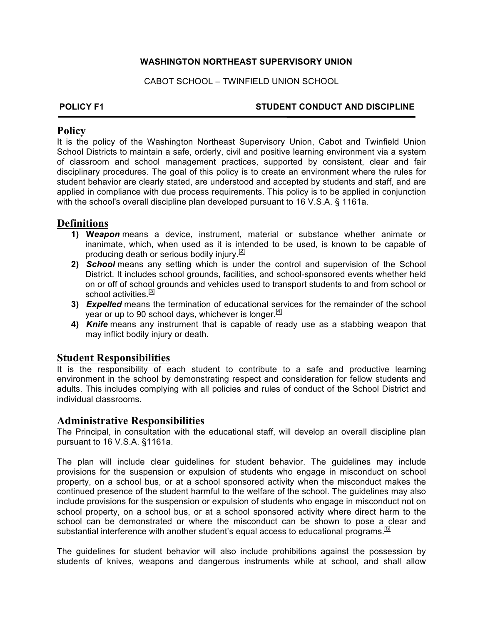### **WASHINGTON NORTHEAST SUPERVISORY UNION**

CABOT SCHOOL – TWINFIELD UNION SCHOOL

### **POLICY F1 STUDENT CONDUCT AND DISCIPLINE**

### **Policy**

It is the policy of the Washington Northeast Supervisory Union, Cabot and Twinfield Union School Districts to maintain a safe, orderly, civil and positive learning environment via a system of classroom and school management practices, supported by consistent, clear and fair disciplinary procedures. The goal of this policy is to create an environment where the rules for student behavior are clearly stated, are understood and accepted by students and staff, and are applied in compliance with due process requirements. This policy is to be applied in conjunction with the school's overall discipline plan developed pursuant to 16 V.S.A. § 1161a.

# **Definitions**

- **1) W***eapon* means a device, instrument, material or substance whether animate or inanimate, which, when used as it is intended to be used, is known to be capable of producing death or serious bodily injury.<sup>[2]</sup>
- **2)** *School* means any setting which is under the control and supervision of the School District. It includes school grounds, facilities, and school-sponsored events whether held on or off of school grounds and vehicles used to transport students to and from school or school activities.<sup>[3]</sup>
- **3)** *Expelled* means the termination of educational services for the remainder of the school vear or up to 90 school days, whichever is longer. $[4]$
- **4)** *Knife* means any instrument that is capable of ready use as a stabbing weapon that may inflict bodily injury or death.

# **Student Responsibilities**

It is the responsibility of each student to contribute to a safe and productive learning environment in the school by demonstrating respect and consideration for fellow students and adults. This includes complying with all policies and rules of conduct of the School District and individual classrooms.

## **Administrative Responsibilities**

The Principal, in consultation with the educational staff, will develop an overall discipline plan pursuant to 16 V.S.A. §1161a.

The plan will include clear guidelines for student behavior. The guidelines may include provisions for the suspension or expulsion of students who engage in misconduct on school property, on a school bus, or at a school sponsored activity when the misconduct makes the continued presence of the student harmful to the welfare of the school. The guidelines may also include provisions for the suspension or expulsion of students who engage in misconduct not on school property, on a school bus, or at a school sponsored activity where direct harm to the school can be demonstrated or where the misconduct can be shown to pose a clear and substantial interference with another student's equal access to educational programs.<sup>[5]</sup>

The guidelines for student behavior will also include prohibitions against the possession by students of knives, weapons and dangerous instruments while at school, and shall allow